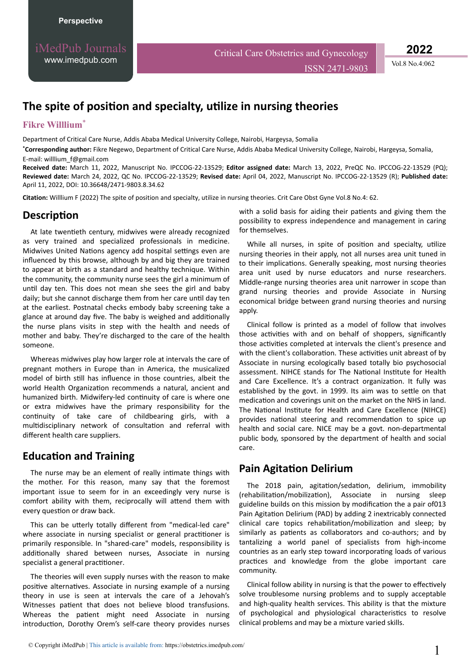iMedPub Journals [www.imedpub.com](http://www.imedpub.com/)

Critical Care Obstetrics and Gynecology

ISSN 2471-9803 Vol.8 No.4:062

**2022**

# **The spite of position and specialty, utilize in nursing theories**

#### **Fikre Willlium**\*

Department of Critical Care Nurse, Addis Ababa Medical University College, Nairobi, Hargeysa, Somalia

**\*Corresponding author:** Fikre Negewo, Department of Critical Care Nurse, Addis Ababa Medical University College, Nairobi, Hargeysa, Somalia, E-mail: [willlium\\_f@gmail.com](mailto:willlium_f@gmail.com)

**Received date:** March 11, 2022, Manuscript No. IPCCOG-22-13529; **Editor assigned date:** March 13, 2022, PreQC No. IPCCOG-22-13529 (PQ); **Reviewed date:** March 24, 2022, QC No. IPCCOG-22-13529; **Revised date:** April 04, 2022, Manuscript No. IPCCOG-22-13529 (R); **Published date:** April 11, 2022, DOI: 10.36648/2471-9803.8.34.62

Citation: Willlium F (2022) The spite of position and specialty, utilize in nursing theories. Crit Care Obst Gyne Vol.8 No.4: 62.

### **Description**

At late twentieth century, midwives were already recognized as very trained and specialized professionals in medicine. Midwives United Nations agency add hospital settings even are influenced by this browse, although by and big they are trained to appear at birth as a standard and healthy technique. Within the community, the community nurse sees the girl a minimum of until day ten. This does not mean she sees the girl and baby daily; but she cannot discharge them from her care until day ten at the earliest. Postnatal checks embody baby screening take a glance at around day five. The baby is weighed and additionally the nurse plans visits in step with the health and needs of mother and baby. They're discharged to the care of the health someone.

Whereas midwives play how larger role at intervals the care of pregnant mothers in Europe than in America, the musicalized model of birth still has influence in those countries, albeit the world Health Organization recommends a natural, ancient and humanized birth. Midwifery-led continuity of care is where one or extra midwives have the primary responsibility for the continuity of take care of childbearing girls, with a multidisciplinary network of consultation and referral with different health care suppliers.

## **Education and Training**

The nurse may be an element of really intimate things with the mother. For this reason, many say that the foremost important issue to seem for in an exceedingly very nurse is comfort ability with them, reciprocally will attend them with every question or draw back.

This can be utterly totally different from "medical-led care" where associate in nursing specialist or general practitioner is primarily responsible. In "shared-care" models, responsibility is additionally shared between nurses, Associate in nursing specialist a general practitioner.

The theories will even supply nurses with the reason to make positive alternatives. Associate in nursing example of a nursing theory in use is seen at intervals the care of a Jehovah's Witnesses patient that does not believe blood transfusions. Whereas the patient might need Associate in nursing introduction, Dorothy Orem's self-care theory provides nurses with a solid basis for aiding their patients and giving them the possibility to express independence and management in caring for themselves.

While all nurses, in spite of position and specialty, utilize nursing theories in their apply, not all nurses area unit tuned in to their implications. Generally speaking, most nursing theories area unit used by nurse educators and nurse researchers. Middle-range nursing theories area unit narrower in scope than grand nursing theories and provide Associate in Nursing economical bridge between grand nursing theories and nursing apply.

Clinical follow is printed as a model of follow that involves those activities with and on behalf of shoppers, significantly those activities completed at intervals the client's presence and with the client's collaboration. These activities unit abreast of by Associate in nursing ecologically based totally bio psychosocial assessment. NIHCE stands for The National Institute for Health and Care Excellence. It's a contract organization. It fully was established by the govt. in 1999. Its aim was to settle on that medication and coverings unit on the market on the NHS in land. The National Institute for Health and Care Excellence (NIHCE) provides national steering and recommendation to spice up health and social care. NICE may be a govt. non-departmental public body, sponsored by the department of health and social care.

### **Pain Agitation Delirium**

The 2018 pain, agitation/sedation, delirium, immobility (rehabilitation/mobilization), Associate in nursing sleep guideline builds on this mission by modification the a pair of013 Pain Agitation Delirium (PAD) by adding 2 inextricably connected clinical care topics rehabilitation/mobilization and sleep; by similarly as patients as collaborators and co-authors; and by tantalizing a world panel of specialists from high-income countries as an early step toward incorporating loads of various practices and knowledge from the globe important care community.

Clinical follow ability in nursing is that the power to effectively solve troublesome nursing problems and to supply acceptable and high-quality health services. This ability is that the mixture of psychological and physiological characteristics to resolve clinical problems and may be a mixture varied skills.